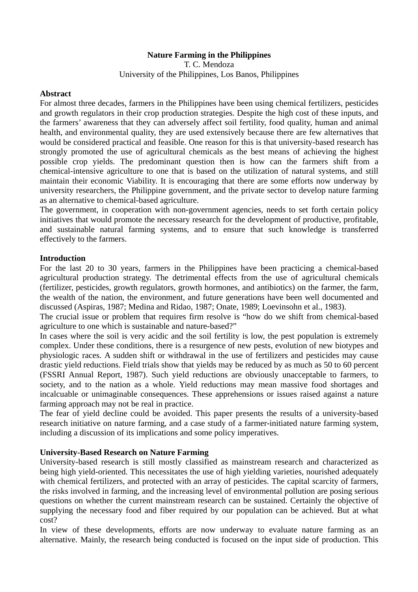### **Nature Farming in the Philippines**

T. C. Mendoza University of the Philippines, Los Banos, Philippines

#### **Abstract**

For almost three decades, farmers in the Philippines have been using chemical fertilizers, pesticides and growth regulators in their crop production strategies. Despite the high cost of these inputs, and the farmers' awareness that they can adversely affect soil fertility, food quality, human and animal health, and environmental quality, they are used extensively because there are few alternatives that would be considered practical and feasible. One reason for this is that university-based research has strongly promoted the use of agricultural chemicals as the best means of achieving the highest possible crop yields. The predominant question then is how can the farmers shift from a chemical-intensive agriculture to one that is based on the utilization of natural systems, and still maintain their economic Viability. It is encouraging that there are some efforts now underway by university researchers, the Philippine government, and the private sector to develop nature farming as an alternative to chemical-based agriculture.

The government, in cooperation with non-government agencies, needs to set forth certain policy initiatives that would promote the necessary research for the development of productive, profitable, and sustainable natural farming systems, and to ensure that such knowledge is transferred effectively to the farmers.

#### **Introduction**

For the last 20 to 30 years, farmers in the Philippines have been practicing a chemical-based agricultural production strategy. The detrimental effects from the use of agricultural chemicals (fertilizer, pesticides, growth regulators, growth hormones, and antibiotics) on the farmer, the farm, the wealth of the nation, the environment, and future generations have been well documented and discussed (Aspiras, 1987; Medina and Ridao, 1987; Onate, 1989; Loevinsohn et al., 1983).

The crucial issue or problem that requires firm resolve is "how do we shift from chemical-based agriculture to one which is sustainable and nature-based?"

In cases where the soil is very acidic and the soil fertility is low, the pest population is extremely complex. Under these conditions, there is a resurgence of new pests, evolution of new biotypes and physiologic races. A sudden shift or withdrawal in the use of fertilizers and pesticides may cause drastic yield reductions. Field trials show that yields may be reduced by as much as 50 to 60 percent (FSSRI Annual Report, 1987). Such yield reductions are obviously unacceptable to farmers, to society, and to the nation as a whole. Yield reductions may mean massive food shortages and incalcuable or unimaginable consequences. These apprehensions or issues raised against a nature farming approach may not be real in practice.

The fear of yield decline could be avoided. This paper presents the results of a university-based research initiative on nature farming, and a case study of a farmer-initiated nature farming system, including a discussion of its implications and some policy imperatives.

### **University-Based Research on Nature Farming**

University-based research is still mostly classified as mainstream research and characterized as being high yield-oriented. This necessitates the use of high yielding varieties, nourished adequately with chemical fertilizers, and protected with an array of pesticides. The capital scarcity of farmers, the risks involved in farming, and the increasing level of environmental pollution are posing serious questions on whether the current mainstream research can be sustained. Certainly the objective of supplying the necessary food and fiber required by our population can be achieved. But at what cost?

In view of these developments, efforts are now underway to evaluate nature farming as an alternative. Mainly, the research being conducted is focused on the input side of production. This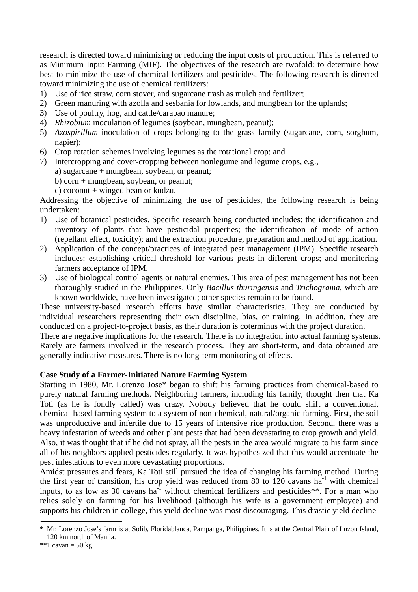research is directed toward minimizing or reducing the input costs of production. This is referred to as Minimum Input Farming (MIF). The objectives of the research are twofold: to determine how best to minimize the use of chemical fertilizers and pesticides. The following research is directed toward minimizing the use of chemical fertilizers:

- 1) Use of rice straw, corn stover, and sugarcane trash as mulch and fertilizer;
- 2) Green manuring with azolla and sesbania for lowlands, and mungbean for the uplands;
- 3) Use of poultry, hog, and cattle/carabao manure;
- 4) *Rhizobium* inoculation of legumes (soybean, mungbean, peanut);
- 5) *Azospirillum* inoculation of crops belonging to the grass family (sugarcane, corn, sorghum, napier);
- 6) Crop rotation schemes involving legumes as the rotational crop; and
- 7) Intercropping and cover-cropping between nonlegume and legume crops, e.g.,
	- a) sugarcane + mungbean, soybean, or peanut;
	- b) corn + mungbean, soybean, or peanut;
	- c) coconut + winged bean or kudzu.

Addressing the objective of minimizing the use of pesticides, the following research is being undertaken:

- 1) Use of botanical pesticides. Specific research being conducted includes: the identification and inventory of plants that have pesticidal properties; the identification of mode of action (repellant effect, toxicity); and the extraction procedure, preparation and method of application.
- 2) Application of the concept/practices of integrated pest management (IPM). Specific research includes: establishing critical threshold for various pests in different crops; and monitoring farmers acceptance of IPM.
- 3) Use of biological control agents or natural enemies. This area of pest management has not been thoroughly studied in the Philippines. Only *Bacillus thuringensis* and *Trichograma*, which are known worldwide, have been investigated; other species remain to be found.

These university-based research efforts have similar characteristics. They are conducted by individual researchers representing their own discipline, bias, or training. In addition, they are conducted on a project-to-project basis, as their duration is coterminus with the project duration.

There are negative implications for the research. There is no integration into actual farming systems. Rarely are farmers involved in the research process. They are short-term, and data obtained are generally indicative measures. There is no long-term monitoring of effects.

### **Case Study of a Farmer-Initiated Nature Farming System**

Starting in 1980, Mr. Lorenzo Jose\* began to shift his farming practices from chemical-based to purely natural farming methods. Neighboring farmers, including his family, thought then that Ka Toti (as he is fondly called) was crazy. Nobody believed that he could shift a conventional, chemical-based farming system to a system of non-chemical, natural/organic farming. First, the soil was unproductive and infertile due to 15 years of intensive rice production. Second, there was a heavy infestation of weeds and other plant pests that had been devastating to crop growth and yield. Also, it was thought that if he did not spray, all the pests in the area would migrate to his farm since all of his neighbors applied pesticides regularly. It was hypothesized that this would accentuate the pest infestations to even more devastating proportions.

Amidst pressures and fears, Ka Toti still pursued the idea of changing his farming method. During the first year of transition, his crop yield was reduced from 80 to 120 cavans  $ha^{-1}$  with chemical inputs, to as low as 30 cavans ha<sup>-1</sup> without chemical fertilizers and pesticides\*\*. For a man who relies solely on farming for his livelihood (although his wife is a government employee) and supports his children in college, this yield decline was most discouraging. This drastic yield decline

Mr. Lorenzo Jose's farm is at Solib, Floridablanca, Pampanga, Philippines. It is at the Central Plain of Luzon Island, 120 km north of Manila.

<sup>\*\*1</sup> cavan =  $50 \text{ kg}$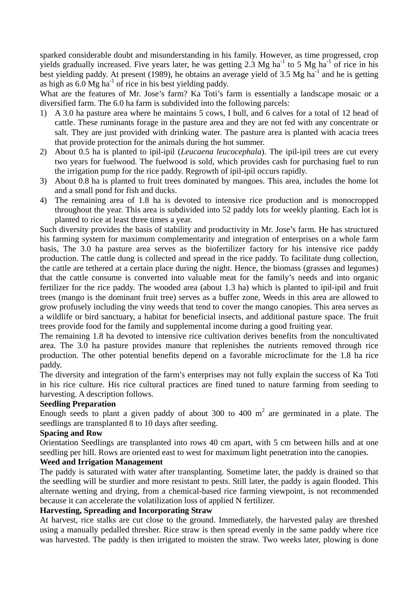sparked considerable doubt and misunderstanding in his family. However, as time progressed, crop yields gradually increased. Five years later, he was getting  $2.3 \text{ Mg} \text{ ha}^{-1}$  to 5 Mg ha<sup>-1</sup> of rice in his best yielding paddy. At present (1989), he obtains an average yield of 3.5 Mg ha<sup>-1</sup> and he is getting as high as  $6.0 \text{ Mg}$  ha<sup>-1</sup> of rice in his best yielding paddy.

What are the features of Mr. Jose's farm? Ka Toti's farm is essentially a landscape mosaic or a diversified farm. The 6.0 ha farm is subdivided into the following parcels:

- 1) A 3.0 ha pasture area where he maintains 5 cows, I bull, and 6 calves for a total of 12 head of cattle. These ruminants forage in the pasture area and they are not fed with any concentrate or salt. They are just provided with drinking water. The pasture area is planted with acacia trees that provide protection for the animals during the hot summer.
- 2) About 0.5 ha is planted to ipil-ipil (*Leucaena leucocephala*). The ipil-ipil trees are cut every two years for fuelwood. The fuelwood is sold, which provides cash for purchasing fuel to run the irrigation pump for the rice paddy. Regrowth of ipil-ipil occurs rapidly.
- 3) About 0.8 ha is planted to fruit trees dominated by mangoes. This area, includes the home lot and a small pond for fish and ducks.
- 4) The remaining area of 1.8 ha is devoted to intensive rice production and is monocropped throughout the year. This area is subdivided into 52 paddy lots for weekly planting. Each lot is planted to rice at least three times a year.

Such diversity provides the basis of stability and productivity in Mr. Jose's farm. He has structured his farming system for maximum complementarity and integration of enterprises on a whole farm basis, The 3.0 ha pasture area serves as the biofertilizer factory for his intensive rice paddy production. The cattle dung is collected and spread in the rice paddy. To facilitate dung collection, the cattle are tethered at a certain place during the night. Hence, the biomass (grasses and legumes) that the cattle consume is converted into valuable meat for the family's needs and into organic fertilizer for the rice paddy. The wooded area (about 1.3 ha) which is planted to ipil-ipil and fruit trees (mango is the dominant fruit tree) serves as a buffer zone, Weeds in this area are allowed to grow profusely including the viny weeds that tend to cover the mango canopies. This area serves as a wildlife or bird sanctuary, a habitat for beneficial insects, and additional pasture space. The fruit trees provide food for the family and supplemental income during a good fruiting year.

The remaining 1.8 ha devoted to intensive rice cultivation derives benefits from the noncultivated area. The 3.0 ha pasture provides manure that replenishes the nutrients removed through rice production. The other potential benefits depend on a favorable microclimate for the 1.8 ha rice paddy.

The diversity and integration of the farm's enterprises may not fully explain the success of Ka Toti in his rice culture. His rice cultural practices are fined tuned to nature farming from seeding to harvesting. A description follows.

### **Seedling Preparation**

Enough seeds to plant a given paddy of about 300 to 400  $m<sup>2</sup>$  are germinated in a plate. The seedlings are transplanted 8 to 10 days after seeding.

# **Spacing and Row**

Orientation Seedlings are transplanted into rows 40 cm apart, with 5 cm between hills and at one seedling per hill. Rows are oriented east to west for maximum light penetration into the canopies.

### **Weed and Irrigation Management**

The paddy is saturated with water after transplanting. Sometime later, the paddy is drained so that the seedling will be sturdier and more resistant to pests. Still later, the paddy is again flooded. This alternate wetting and drying, from a chemical-based rice farming viewpoint, is not recommended because it can accelerate the volatilization loss of applied N fertilizer.

# **Harvesting, Spreading and Incorporating Straw**

At harvest, rice stalks are cut close to the ground. Immediately, the harvested palay are threshed using a manually pedalled thresher. Rice straw is then spread evenly in the same paddy where rice was harvested. The paddy is then irrigated to moisten the straw. Two weeks later, plowing is done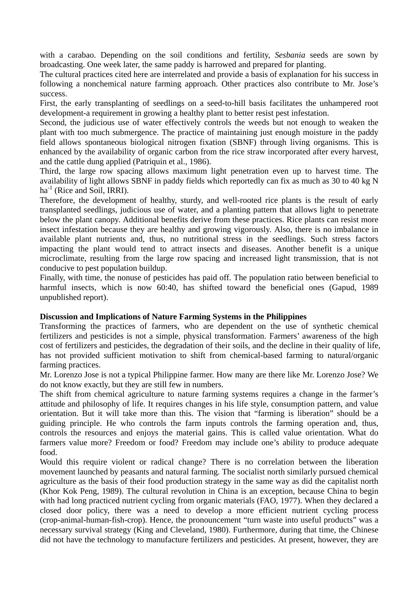with a carabao. Depending on the soil conditions and fertility, *Sesbania* seeds are sown by broadcasting. One week later, the same paddy is harrowed and prepared for planting.

The cultural practices cited here are interrelated and provide a basis of explanation for his success in following a nonchemical nature farming approach. Other practices also contribute to Mr. Jose's success.

First, the early transplanting of seedlings on a seed-to-hill basis facilitates the unhampered root development-a requirement in growing a healthy plant to better resist pest infestation.

Second, the judicious use of water effectively controls the weeds but not enough to weaken the plant with too much submergence. The practice of maintaining just enough moisture in the paddy field allows spontaneous biological nitrogen fixation (SBNF) through living organisms. This is enhanced by the availability of organic carbon from the rice straw incorporated after every harvest, and the cattle dung applied (Patriquin et al., 1986).

Third, the large row spacing allows maximum light penetration even up to harvest time. The availability of light allows SBNF in paddy fields which reportedly can fix as much as 30 to 40 kg N  $ha^{-1}$  (Rice and Soil, IRRI).

Therefore, the development of healthy, sturdy, and well-rooted rice plants is the result of early transplanted seedlings, judicious use of water, and a planting pattern that allows light to penetrate below the plant canopy. Additional benefits derive from these practices. Rice plants can resist more insect infestation because they are healthy and growing vigorously. Also, there is no imbalance in available plant nutrients and, thus, no nutritional stress in the seedlings. Such stress factors impacting the plant would tend to attract insects and diseases. Another benefit is a unique microclimate, resulting from the large row spacing and increased light transmission, that is not conducive to pest population buildup.

Finally, with time, the nonuse of pesticides has paid off. The population ratio between beneficial to harmful insects, which is now 60:40, has shifted toward the beneficial ones (Gapud, 1989 unpublished report).

### **Discussion and Implications of Nature Farming Systems in the Philippines**

Transforming the practices of farmers, who are dependent on the use of synthetic chemical fertilizers and pesticides is not a simple, physical transformation. Farmers' awareness of the high cost of fertilizers and pesticides, the degradation of their soils, and the decline in their quality of life, has not provided sufficient motivation to shift from chemical-based farming to natural/organic farming practices.

Mr. Lorenzo Jose is not a typical Philippine farmer. How many are there like Mr. Lorenzo Jose? We do not know exactly, but they are still few in numbers.

The shift from chemical agriculture to nature farming systems requires a change in the farmer's attitude and philosophy of life. It requires changes in his life style, consumption pattern, and value orientation. But it will take more than this. The vision that "farming is liberation" should be a guiding principle. He who controls the farm inputs controls the farming operation and, thus, controls the resources and enjoys the material gains. This is called value orientation. What do farmers value more? Freedom or food? Freedom may include one's ability to produce adequate food.

Would this require violent or radical change? There is no correlation between the liberation movement launched by peasants and natural farming. The socialist north similarly pursued chemical agriculture as the basis of their food production strategy in the same way as did the capitalist north (Khor Kok Peng, 1989). The cultural revolution in China is an exception, because China to begin with had long practiced nutrient cycling from organic materials (FAO, 1977). When they declared a closed door policy, there was a need to develop a more efficient nutrient cycling process (crop-animal-human-fish-crop). Hence, the pronouncement "turn waste into useful products" was a necessary survival strategy (King and Cleveland, 1980). Furthermore, during that time, the Chinese did not have the technology to manufacture fertilizers and pesticides. At present, however, they are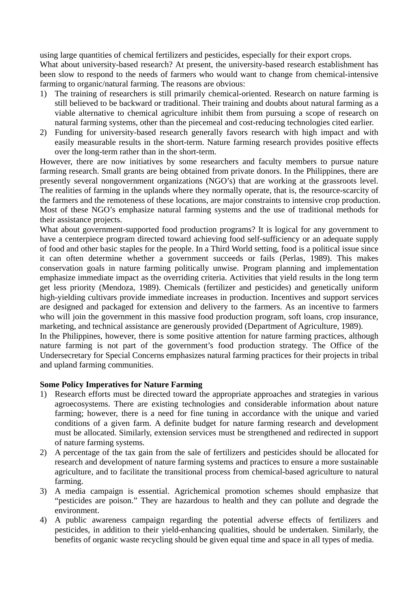using large quantities of chemical fertilizers and pesticides, especially for their export crops. What about university-based research? At present, the university-based research establishment has been slow to respond to the needs of farmers who would want to change from chemical-intensive farming to organic/natural farming. The reasons are obvious:

- 1) The training of researchers is still primarily chemical-oriented. Research on nature farming is still believed to be backward or traditional. Their training and doubts about natural farming as a viable alternative to chemical agriculture inhibit them from pursuing a scope of research on natural farming systems, other than the piecemeal and cost-reducing technologies cited earlier.
- 2) Funding for university-based research generally favors research with high impact and with easily measurable results in the short-term. Nature farming research provides positive effects over the long-term rather than in the short-term.

However, there are now initiatives by some researchers and faculty members to pursue nature farming research. Small grants are being obtained from private donors. In the Philippines, there are presently several nongovernment organizations (NGO's) that are working at the grassroots level. The realities of farming in the uplands where they normally operate, that is, the resource-scarcity of the farmers and the remoteness of these locations, are major constraints to intensive crop production. Most of these NGO's emphasize natural farming systems and the use of traditional methods for their assistance projects.

What about government-supported food production programs? It is logical for any government to have a centerpiece program directed toward achieving food self-sufficiency or an adequate supply of food and other basic staples for the people. In a Third World setting, food is a political issue since it can often determine whether a government succeeds or fails (Perlas, 1989). This makes conservation goals in nature farming politically unwise. Program planning and implementation emphasize immediate impact as the overriding criteria. Activities that yield results in the long term get less priority (Mendoza, 1989). Chemicals (fertilizer and pesticides) and genetically uniform high-yielding cultivars provide immediate increases in production. Incentives and support services are designed and packaged for extension and delivery to the farmers. As an incentive to farmers who will join the government in this massive food production program, soft loans, crop insurance, marketing, and technical assistance are generously provided (Department of Agriculture, 1989).

In the Philippines, however, there is some positive attention for nature farming practices, although nature farming is not part of the government's food production strategy. The Office of the Undersecretary for Special Concerns emphasizes natural farming practices for their projects in tribal and upland farming communities.

# **Some Policy Imperatives for Nature Farming**

- 1) Research efforts must be directed toward the appropriate approaches and strategies in various agroecosystems. There are existing technologies and considerable information about nature farming; however, there is a need for fine tuning in accordance with the unique and varied conditions of a given farm. A definite budget for nature farming research and development must be allocated. Similarly, extension services must be strengthened and redirected in support of nature farming systems.
- 2) A percentage of the tax gain from the sale of fertilizers and pesticides should be allocated for research and development of nature farming systems and practices to ensure a more sustainable agriculture, and to facilitate the transitional process from chemical-based agriculture to natural farming.
- 3) A media campaign is essential. Agrichemical promotion schemes should emphasize that "pesticides are poison." They are hazardous to health and they can pollute and degrade the environment.
- 4) A public awareness campaign regarding the potential adverse effects of fertilizers and pesticides, in addition to their yield-enhancing qualities, should be undertaken. Similarly, the benefits of organic waste recycling should be given equal time and space in all types of media.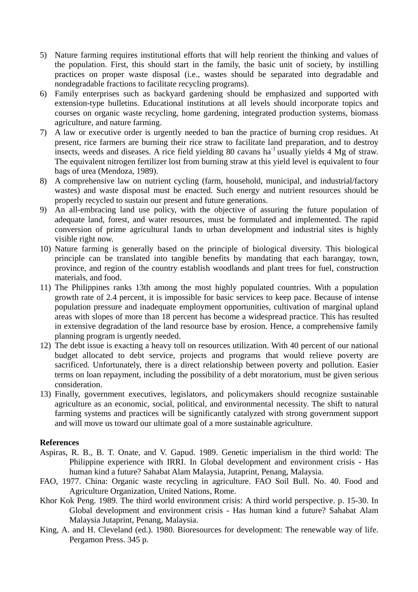- 5) Nature farming requires institutional efforts that will help reorient the thinking and values of the population. First, this should start in the family, the basic unit of society, by instilling practices on proper waste disposal (i.e., wastes should be separated into degradable and nondegradable fractions to facilitate recycling programs).
- 6) Family enterprises such as backyard gardening should be emphasized and supported with extension-type bulletins. Educational institutions at all levels should incorporate topics and courses on organic waste recycling, home gardening, integrated production systems, biomass agriculture, and nature farming.
- 7) A law or executive order is urgently needed to ban the practice of burning crop residues. At present, rice farmers are burning their rice straw to facilitate land preparation, and to destroy insects, weeds and diseases. A rice field yielding 80 cavans ha<sup>-1</sup> usually yields  $4 \text{ Mg}$  of straw. The equivalent nitrogen fertilizer lost from burning straw at this yield level is equivalent to four bags of urea (Mendoza, 1989).
- 8) A comprehensive law on nutrient cycling (farm, household, municipal, and industrial/factory wastes) and waste disposal must be enacted. Such energy and nutrient resources should be properly recycled to sustain our present and future generations.
- 9) An all-embracing land use policy, with the objective of assuring the future population of adequate land, forest, and water resources, must be formulated and implemented. The rapid conversion of prime agricultural 1ands to urban development and industrial sites is highly visible right now.
- 10) Nature farming is generally based on the principle of biological diversity. This biological principle can be translated into tangible benefits by mandating that each barangay, town, province, and region of the country establish woodlands and plant trees for fuel, construction materials, and food.
- 11) The Philippines ranks 13th among the most highly populated countries. With a population growth rate of 2.4 percent, it is impossible for basic services to keep pace. Because of intense population pressure and inadequate employment opportunities, cultivation of marginal upland areas with slopes of more than 18 percent has become a widespread practice. This has resulted in extensive degradation of the land resource base by erosion. Hence, a comprehensive family planning program is urgently needed.
- 12) The debt issue is exacting a heavy toll on resources utilization. With 40 percent of our national budget allocated to debt service, projects and programs that would relieve poverty are sacrificed. Unfortunately, there is a direct relationship between poverty and pollution. Easier terms on loan repayment, including the possibility of a debt moratorium, must be given serious consideration.
- 13) Finally, government executives, legislators, and policymakers should recognize sustainable agriculture as an economic, social, political, and environmental necessity. The shift to natural farming systems and practices will be significantly catalyzed with strong government support and will move us toward our ultimate goal of a more sustainable agriculture.

### **References**

- Aspiras, R. B., B. T. Onate, and V. Gapud. 1989. Genetic imperialism in the third world: The Philippine experience with IRRI. In Global development and environment crisis - Has human kind a future? Sahabat Alam Malaysia, Jutaprint, Penang, Malaysia.
- FAO, 1977. China: Organic waste recycling in agriculture. FAO Soil Bull. No. 40. Food and Agriculture Organization, United Nations, Rome.
- Khor Kok Peng. 1989. The third world environment crisis: A third world perspective. p. 15-30. In Global development and environment crisis - Has human kind a future? Sahabat Alam Malaysia Jutaprint, Penang, Malaysia.
- King, A. and H. Cleveland (ed.). 1980. Bioresources for development: The renewable way of life. Pergamon Press. 345 p.